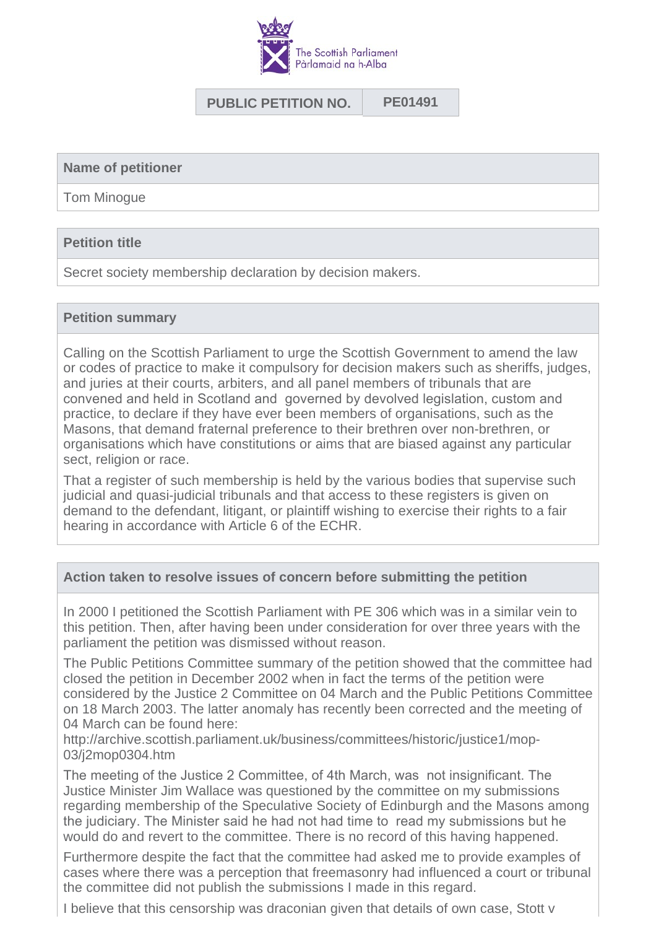

# **PUBLIC PETITION NO. PE01491**

#### **Name of petitioner**

Tom Minogue

### **Petition title**

Secret society membership declaration by decision makers.

#### **Petition summary**

Calling on the Scottish Parliament to urge the Scottish Government to amend the law or codes of practice to make it compulsory for decision makers such as sheriffs, judges, and juries at their courts, arbiters, and all panel members of tribunals that are convened and held in Scotland and governed by devolved legislation, custom and practice, to declare if they have ever been members of organisations, such as the Masons, that demand fraternal preference to their brethren over non-brethren, or organisations which have constitutions or aims that are biased against any particular sect, religion or race.

That a register of such membership is held by the various bodies that supervise such judicial and quasi-judicial tribunals and that access to these registers is given on demand to the defendant, litigant, or plaintiff wishing to exercise their rights to a fair hearing in accordance with Article 6 of the ECHR.

### **Action taken to resolve issues of concern before submitting the petition**

In 2000 I petitioned the Scottish Parliament with PE 306 which was in a similar vein to this petition. Then, after having been under consideration for over three years with the parliament the petition was dismissed without reason.

The Public Petitions Committee summary of the petition showed that the committee had closed the petition in December 2002 when in fact the terms of the petition were considered by the Justice 2 Committee on 04 March and the Public Petitions Committee on 18 March 2003. The latter anomaly has recently been corrected and the meeting of 04 March can be found here:

http://archive.scottish.parliament.uk/business/committees/historic/justice1/mop-03/j2mop0304.htm

The meeting of the Justice 2 Committee, of 4th March, was not insignificant. The Justice Minister Jim Wallace was questioned by the committee on my submissions regarding membership of the Speculative Society of Edinburgh and the Masons among the judiciary. The Minister said he had not had time to read my submissions but he would do and revert to the committee. There is no record of this having happened.

Furthermore despite the fact that the committee had asked me to provide examples of cases where there was a perception that freemasonry had influenced a court or tribunal the committee did not publish the submissions I made in this regard.

I believe that this censorship was draconian given that details of own case, Stott v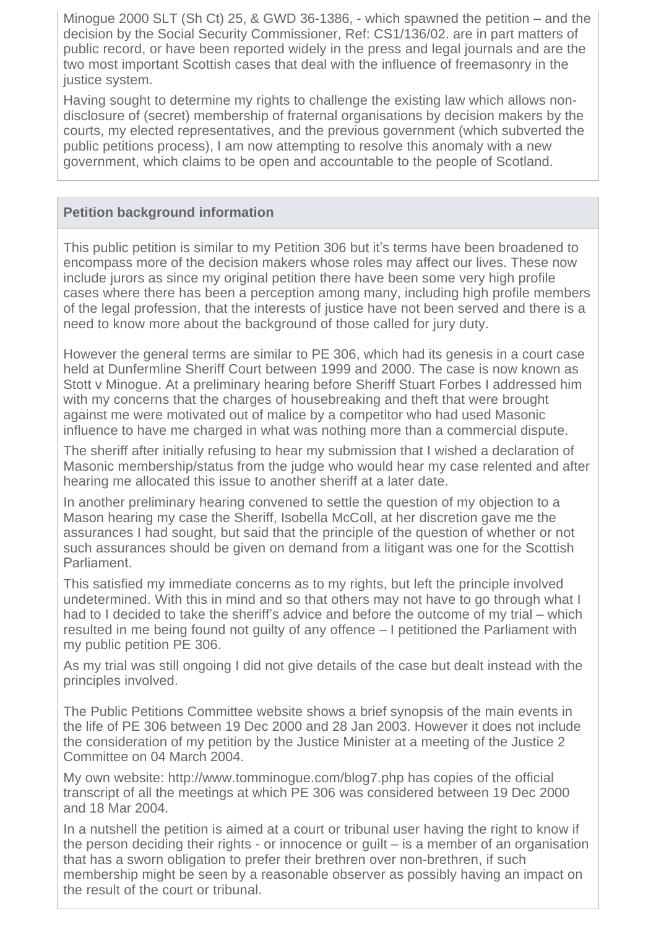Minogue 2000 SLT (Sh Ct) 25, & GWD 36-1386, - which spawned the petition – and the decision by the Social Security Commissioner, Ref: CS1/136/02. are in part matters of public record, or have been reported widely in the press and legal journals and are the two most important Scottish cases that deal with the influence of freemasonry in the justice system.

Having sought to determine my rights to challenge the existing law which allows nondisclosure of (secret) membership of fraternal organisations by decision makers by the courts, my elected representatives, and the previous government (which subverted the public petitions process), I am now attempting to resolve this anomaly with a new government, which claims to be open and accountable to the people of Scotland.

# **Petition background information**

This public petition is similar to my Petition 306 but it's terms have been broadened to encompass more of the decision makers whose roles may affect our lives. These now include jurors as since my original petition there have been some very high profile cases where there has been a perception among many, including high profile members of the legal profession, that the interests of justice have not been served and there is a need to know more about the background of those called for jury duty.

However the general terms are similar to PE 306, which had its genesis in a court case held at Dunfermline Sheriff Court between 1999 and 2000. The case is now known as Stott v Minogue. At a preliminary hearing before Sheriff Stuart Forbes I addressed him with my concerns that the charges of housebreaking and theft that were brought against me were motivated out of malice by a competitor who had used Masonic influence to have me charged in what was nothing more than a commercial dispute.

The sheriff after initially refusing to hear my submission that I wished a declaration of Masonic membership/status from the judge who would hear my case relented and after hearing me allocated this issue to another sheriff at a later date.

In another preliminary hearing convened to settle the question of my objection to a Mason hearing my case the Sheriff, Isobella McColl, at her discretion gave me the assurances I had sought, but said that the principle of the question of whether or not such assurances should be given on demand from a litigant was one for the Scottish Parliament.

This satisfied my immediate concerns as to my rights, but left the principle involved undetermined. With this in mind and so that others may not have to go through what I had to I decided to take the sheriff's advice and before the outcome of my trial – which resulted in me being found not guilty of any offence – I petitioned the Parliament with my public petition PE 306.

As my trial was still ongoing I did not give details of the case but dealt instead with the principles involved.

The Public Petitions Committee website shows a brief synopsis of the main events in the life of PE 306 between 19 Dec 2000 and 28 Jan 2003. However it does not include the consideration of my petition by the Justice Minister at a meeting of the Justice 2 Committee on 04 March 2004.

My own website: http://www.tomminogue.com/blog7.php has copies of the official transcript of all the meetings at which PE 306 was considered between 19 Dec 2000 and 18 Mar 2004.

In a nutshell the petition is aimed at a court or tribunal user having the right to know if the person deciding their rights - or innocence or guilt – is a member of an organisation that has a sworn obligation to prefer their brethren over non-brethren, if such membership might be seen by a reasonable observer as possibly having an impact on the result of the court or tribunal.